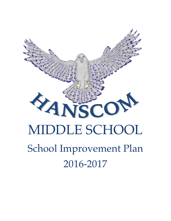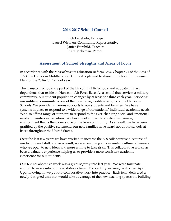## **2016-2017 School Council**

Erich Ledebuhr, Principal Laurel Wironen, Community Representative Janice Fairchild, Teacher Kara Mehrman, Parent

## **Assessment of School Strengths and Areas of Focus**

In accordance with the Massachusetts Education Reform Law, Chapter 71 of the Acts of 1993, the Hanscom Middle School Council is pleased to share our School Improvement Plan for the 2016-2017 school year.

The Hanscom Schools are part of the Lincoln Public Schools and educate military dependents that reside on Hanscom Air Force Base. As a school that services a military community, our student population changes by at least one third each year. Servicing our military community is one of the most recognizable strengths of the Hanscom Schools. We provide numerous supports to our students and families. We have systems in place to respond to a wide range of our students' individual academic needs. We also offer a range of supports to respond to the ever-changing social and emotional needs of families in transition. We have worked hard to create a welcoming environment that is the cornerstone of the base community. As a result, we have been gratified by the positive statements our new families have heard about our schools at bases throughout the United States.

Over the last few years we have worked to increase the K-8 collaborative discourse of our faculty and staff, and as a result, we are becoming a more united culture of learners who are open to new ideas and more willing to take risks. This collaborative work has been a valuable experience helping us to provide a more consistent academic experience for our students.

Our K-8 collaborative work was a great segway into last year. We were fortunate enough to move into our new, state-of-the-art 21st century learning facility last April. Upon moving in, we put our collaborative work into practice. Each team delivered a newly-designed unit that would take advantage of the new teaching spaces the building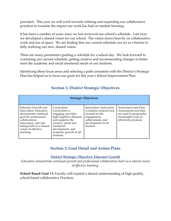provided. This year we will work towards refining and expanding our collaborative practices to examine the impact our work has had on student learning.

It has been a number of years since we last reviewed our school's schedule. Last year, we developed a shared vision for our school. The vision draws heavily on collaborative work and use of space. We are finding that our current schedule can act as a barrier to fully realizing our new, shared vision.

There are many parameters guiding a schedule for a school day. We look forward to examining our current schedule, getting creative and recommending changes to better meet the academic and social emotional needs of our students.

Identifying these focus areas and selecting a path consistent with the District's Strategic Plan has helped us to focus our goals for this year's School Improvement Plan.

| <b>Strategic Objectives</b>                                                                                                                                                                             |                                                                                                                                                                                                 |                                                                                                                                            |                                                                                                                      |  |
|---------------------------------------------------------------------------------------------------------------------------------------------------------------------------------------------------------|-------------------------------------------------------------------------------------------------------------------------------------------------------------------------------------------------|--------------------------------------------------------------------------------------------------------------------------------------------|----------------------------------------------------------------------------------------------------------------------|--|
| Educator Growth and<br>Innovation: Educators<br>demonstrate continual<br>growth, professional<br>collaboration,<br>innovation, and risk-<br>taking built on a shared<br>vision of effective<br>teaching | Curriculum:<br>Curriculum is<br>engaging, provides<br>high cognitive demand,<br>and supports the<br>creative, social and<br>emotional<br>development, and<br>academic growth of all<br>students | Instruction: Instruction<br>is student centered and<br>focused on the<br>engagement,<br>achievement, and<br>development of all<br>learners | Assessment and Data:<br>Assessments and data<br>are used in purposeful,<br>meaningful ways to<br>effectively promote |  |

# **Section 1: District Strategic Objectives**

## **Section 2: Goal Detail and Action Plans**

**District Strategic Objective: Educator Growth**

*Educators demonstrate continual growth and professional collaboration built on a shared vision of effective teaching.*

**School Based Goal #1:** Faculty will expand a shared understanding of high quality, school-based collaborative Practices.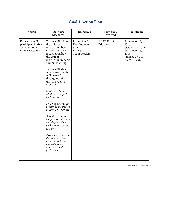# **Goal 1 Action Plan**

| Action                                                                      | Outputs;<br><b>Measures</b>                                                                                                                                                                                                                                                                                                                                                                                                                                                                                                                                                                                                               | Resources                                                               | Individuals<br>Involved  | Timeframe                                                                                              |
|-----------------------------------------------------------------------------|-------------------------------------------------------------------------------------------------------------------------------------------------------------------------------------------------------------------------------------------------------------------------------------------------------------------------------------------------------------------------------------------------------------------------------------------------------------------------------------------------------------------------------------------------------------------------------------------------------------------------------------------|-------------------------------------------------------------------------|--------------------------|--------------------------------------------------------------------------------------------------------|
| Educators will<br>participate in five<br>Collaborative<br>Practice sessions | Teams will refine<br>the units of<br>instruction they<br>created last year<br>focusing on how<br>the unit of<br>instruction impacts<br>student learning.<br>Teams will identify<br>what assessments<br>will be used<br>throughout the<br>unit in order to<br>identify:<br>Students who need<br>additional support<br>for learning<br>Students who would<br>benefit from enriched<br>or extended learning<br>Specific strengths<br>and/or weaknesses in<br>teaching based on the<br>evidence in student<br>learning<br>Areas where none of<br>the team members<br>were able to bring<br>students to the<br>desired level of<br>proficiency | Professional<br>Development<br>time<br>Principal<br><b>Team Leaders</b> | All HMS 4-8<br>Educators | September 28,<br>2016<br>October 11, 2016<br>November 16,<br>2016<br>January 25, 2017<br>March 1, 2017 |
|                                                                             |                                                                                                                                                                                                                                                                                                                                                                                                                                                                                                                                                                                                                                           |                                                                         |                          |                                                                                                        |

*Continued on next page*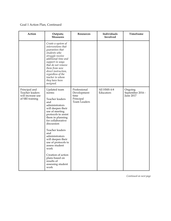### Goal 1 Action Plan, Continued

| Action                                                                   | Outputs;<br><b>Measures</b>                                                                                                                                                                                                                                                                                                                                                         | <b>Resources</b>                                                 | Individuals<br>Involved  | Timeframe                                       |
|--------------------------------------------------------------------------|-------------------------------------------------------------------------------------------------------------------------------------------------------------------------------------------------------------------------------------------------------------------------------------------------------------------------------------------------------------------------------------|------------------------------------------------------------------|--------------------------|-------------------------------------------------|
|                                                                          | Create a system of<br>interventions that<br>guarantees that<br>students who<br>struggle receive<br>additional time and<br>support in ways<br>that do not remove<br>them from new<br>direct instruction,<br>regardless of the<br>teacher to whom<br>they have been<br>assigned.                                                                                                      |                                                                  |                          |                                                 |
| Principal and<br>Teacher leaders<br>will increase use<br>of SRI training | Updated team<br>norms<br>Teacher leaders<br>and<br>administrators<br>will deepen their<br>use of meeting<br>protocols to assist<br>them in planning<br>for collaborative<br>discussion<br>Teacher leaders<br>and<br>administrators<br>will deepen their<br>use of protocols to<br>assess student<br>work<br>Creation of action<br>plans based on<br>results of<br>assessing student | Professional<br>Development<br>time<br>Principal<br>Team Leaders | All HMS 4-8<br>Educators | Ongoing<br>September 2016 -<br><b>June 2017</b> |

*Continued on next page*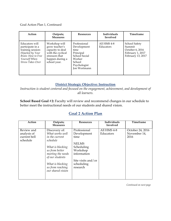Goal Action Plan 1, Continued

| Action                                                                                                                                  | Outputs;<br><b>Measures</b>                                                                                                   | <b>Resources</b>                                                                                                      | Individuals<br>Involved  | Timeframe                                                                           |
|-----------------------------------------------------------------------------------------------------------------------------------------|-------------------------------------------------------------------------------------------------------------------------------|-----------------------------------------------------------------------------------------------------------------------|--------------------------|-------------------------------------------------------------------------------------|
| Educators will<br>participate in a<br>training session:<br>Hijacked by Your<br>Brain: How to Free<br>Yourself When<br>Stress Takes Over | Workshop will<br>grow teacher's<br>capacity to deal<br>with the cyclical<br>stressors that<br>happen during a<br>school year. | Professional<br>Development<br>time<br>Principal<br>School Social<br>Worker<br>School<br>Psychologist<br>Jon Wortmann | All HMS 4-8<br>Educators | School Safety<br>Summit<br>October 6, 2016<br>February 1, 2017<br>February 13, 2017 |

### **District Strategic Objective: Instruction**

*Instruction is student centered and focused on the engagement, achievement, and development of all learners.*

**School Based Goal #2:** Faculty will review and recommend changes in our schedule to better meet the instructional needs of our students and shared vision.

## **Goal 2 Action Plan**

| Action                                                | Outputs;<br><b>Measures</b>                                                                                                                                                                               | <b>Resources</b>                                                                                                                             | Individuals<br>Involved  | Timeframe                                |
|-------------------------------------------------------|-----------------------------------------------------------------------------------------------------------------------------------------------------------------------------------------------------------|----------------------------------------------------------------------------------------------------------------------------------------------|--------------------------|------------------------------------------|
| Review and<br>analysis of<br>current bell<br>schedule | Discovery of:<br>What works well<br>in the current<br>schedule<br>What is blocking<br>us from better<br>meeting the needs<br>of our students<br>What is blocking<br>us from reaching<br>our shared vision | Professional<br>Development<br>time<br><b>NELMS</b><br>Scheduling<br>Workshop<br>information<br>Site visits and/or<br>scheduling<br>research | All HMS 4-8<br>Educators | October 24, 2016<br>November 14,<br>2016 |

*Continued on next page*